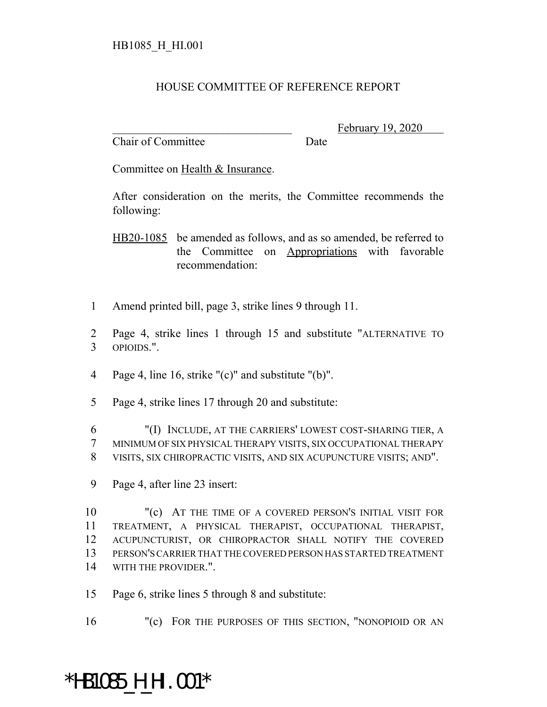## HOUSE COMMITTEE OF REFERENCE REPORT

Chair of Committee Date

February 19, 2020

Committee on Health & Insurance.

After consideration on the merits, the Committee recommends the following:

HB20-1085 be amended as follows, and as so amended, be referred to the Committee on Appropriations with favorable recommendation:

- 1 Amend printed bill, page 3, strike lines 9 through 11.
- 2 Page 4, strike lines 1 through 15 and substitute "ALTERNATIVE TO 3 OPIOIDS.".
- 4 Page 4, line 16, strike "(c)" and substitute "(b)".
- 5 Page 4, strike lines 17 through 20 and substitute:

6 "(I) INCLUDE, AT THE CARRIERS' LOWEST COST-SHARING TIER, A 7 MINIMUM OF SIX PHYSICAL THERAPY VISITS, SIX OCCUPATIONAL THERAPY 8 VISITS, SIX CHIROPRACTIC VISITS, AND SIX ACUPUNCTURE VISITS; AND".

9 Page 4, after line 23 insert:

 "(c) AT THE TIME OF A COVERED PERSON'S INITIAL VISIT FOR TREATMENT, A PHYSICAL THERAPIST, OCCUPATIONAL THERAPIST, ACUPUNCTURIST, OR CHIROPRACTOR SHALL NOTIFY THE COVERED PERSON'S CARRIER THAT THE COVERED PERSON HAS STARTED TREATMENT WITH THE PROVIDER.".

15 Page 6, strike lines 5 through 8 and substitute:

16 "(c) FOR THE PURPOSES OF THIS SECTION, "NONOPIOID OR AN

## \*HB1085\_H\_HI.001\*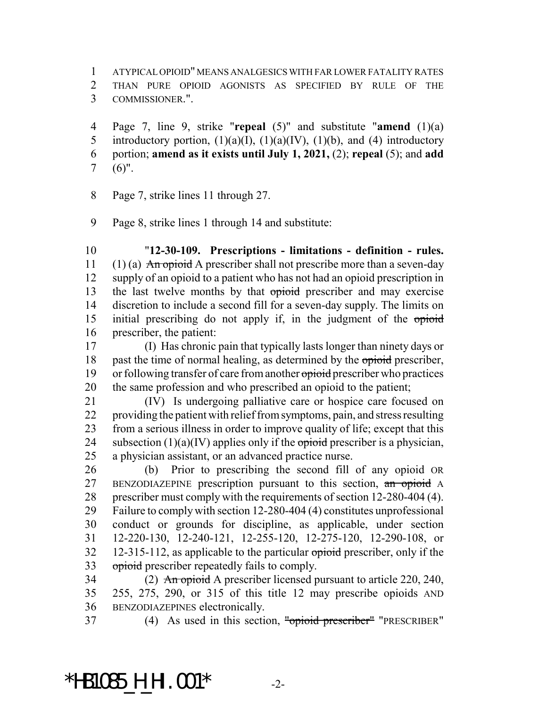ATYPICAL OPIOID" MEANS ANALGESICS WITH FAR LOWER FATALITY RATES THAN PURE OPIOID AGONISTS AS SPECIFIED BY RULE OF THE COMMISSIONER.".

 Page 7, line 9, strike "**repeal** (5)" and substitute "**amend** (1)(a) 5 introductory portion,  $(1)(a)(I)$ ,  $(1)(a)(IV)$ ,  $(1)(b)$ , and  $(4)$  introductory portion; **amend as it exists until July 1, 2021,** (2); **repeal** (5); and **add** (6)".

Page 7, strike lines 11 through 27.

Page 8, strike lines 1 through 14 and substitute:

 "**12-30-109. Prescriptions - limitations - definition - rules.** 11 (1) (a) An opioid A prescriber shall not prescribe more than a seven-day supply of an opioid to a patient who has not had an opioid prescription in 13 the last twelve months by that opioid prescriber and may exercise discretion to include a second fill for a seven-day supply. The limits on 15 initial prescribing do not apply if, in the judgment of the opioid prescriber, the patient:

 (I) Has chronic pain that typically lasts longer than ninety days or 18 past the time of normal healing, as determined by the opioid prescriber, 19 or following transfer of care from another opioid prescriber who practices the same profession and who prescribed an opioid to the patient;

 (IV) Is undergoing palliative care or hospice care focused on providing the patient with relief from symptoms, pain, and stress resulting from a serious illness in order to improve quality of life; except that this 24 subsection  $(1)(a)(IV)$  applies only if the opioid prescriber is a physician, a physician assistant, or an advanced practice nurse.

 (b) Prior to prescribing the second fill of any opioid OR 27 BENZODIAZEPINE prescription pursuant to this section, an opioid A prescriber must comply with the requirements of section 12-280-404 (4). Failure to comply with section 12-280-404 (4) constitutes unprofessional conduct or grounds for discipline, as applicable, under section 12-220-130, 12-240-121, 12-255-120, 12-275-120, 12-290-108, or 32 12-315-112, as applicable to the particular opioid prescriber, only if the 33 opioid prescriber repeatedly fails to comply.

34 (2) An opioid A prescriber licensed pursuant to article 220, 240, 255, 275, 290, or 315 of this title 12 may prescribe opioids AND BENZODIAZEPINES electronically.

(4) As used in this section, "opioid prescriber" "PRESCRIBER"

## \*HB1085\_H\_HI.001\* -2-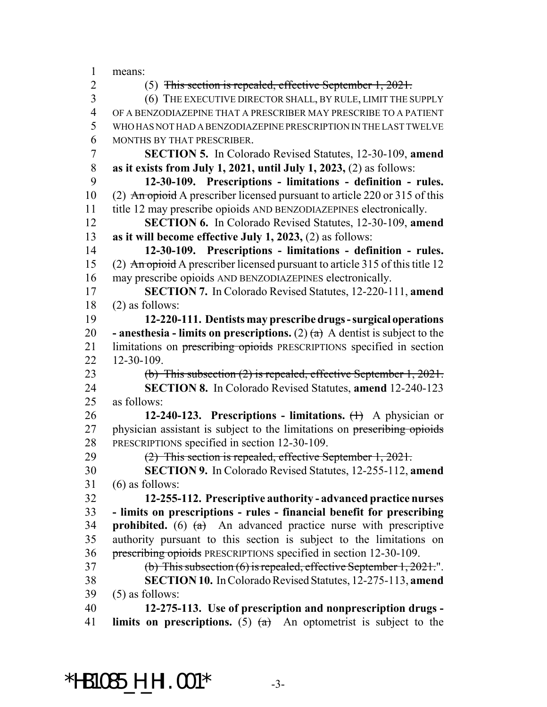means:

(5) This section is repealed, effective September 1, 2021.

 (6) THE EXECUTIVE DIRECTOR SHALL, BY RULE, LIMIT THE SUPPLY OF A BENZODIAZEPINE THAT A PRESCRIBER MAY PRESCRIBE TO A PATIENT WHO HAS NOT HAD A BENZODIAZEPINE PRESCRIPTION IN THE LAST TWELVE MONTHS BY THAT PRESCRIBER.

 **SECTION 5.** In Colorado Revised Statutes, 12-30-109, **amend as it exists from July 1, 2021, until July 1, 2023,** (2) as follows:

 **12-30-109. Prescriptions - limitations - definition - rules.** 10 (2) An opioid A prescriber licensed pursuant to article 220 or 315 of this title 12 may prescribe opioids AND BENZODIAZEPINES electronically.

 **SECTION 6.** In Colorado Revised Statutes, 12-30-109, **amend as it will become effective July 1, 2023,** (2) as follows:

 **12-30-109. Prescriptions - limitations - definition - rules.** 15 (2) An opioid A prescriber licensed pursuant to article 315 of this title 12 may prescribe opioids AND BENZODIAZEPINES electronically.

 **SECTION 7.** In Colorado Revised Statutes, 12-220-111, **amend** (2) as follows:

 **12-220-111. Dentists may prescribe drugs - surgical operations - anesthesia - limits on prescriptions.** (2)  $(a)$  A dentist is subject to the 21 limitations on prescribing opioids PRESCRIPTIONS specified in section 12-30-109.

 (b) This subsection (2) is repealed, effective September 1, 2021. **SECTION 8.** In Colorado Revised Statutes, **amend** 12-240-123 as follows:

 **12-240-123. Prescriptions - limitations.** (1) A physician or 27 physician assistant is subject to the limitations on prescribing opioids PRESCRIPTIONS specified in section 12-30-109.

(2) This section is repealed, effective September 1, 2021.

 **SECTION 9.** In Colorado Revised Statutes, 12-255-112, **amend** (6) as follows:

 **12-255-112. Prescriptive authority - advanced practice nurses - limits on prescriptions - rules - financial benefit for prescribing prohibited.** (6)  $(a + b)$  An advanced practice nurse with prescriptive authority pursuant to this section is subject to the limitations on prescribing opioids PRESCRIPTIONS specified in section 12-30-109.

(b) This subsection (6) is repealed, effective September 1, 2021.".

 **SECTION 10.** In Colorado Revised Statutes, 12-275-113, **amend** (5) as follows:

 **12-275-113. Use of prescription and nonprescription drugs - limits on prescriptions.** (5) (a) An optometrist is subject to the

**\*HB1085\_H\_HI.001\***  $\frac{33}{4}$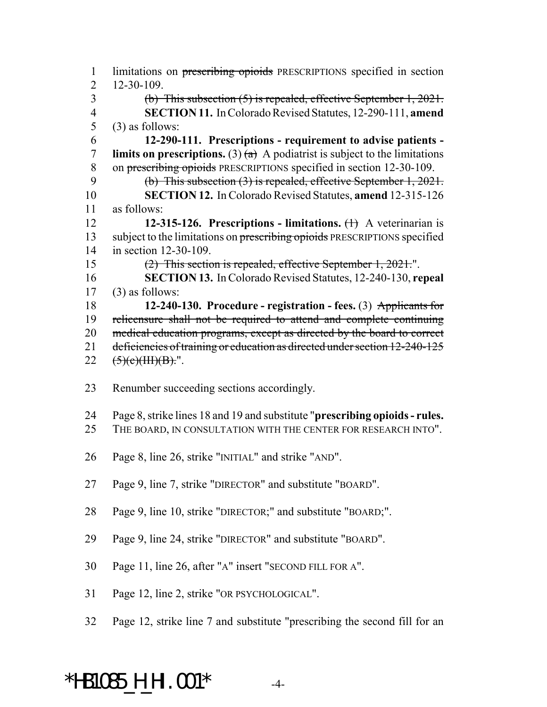1 limitations on prescribing opioids PRESCRIPTIONS specified in section 12-30-109. (b) This subsection (5) is repealed, effective September 1, 2021. **SECTION 11.** In Colorado Revised Statutes, 12-290-111, **amend**  $(3)$  as follows: **12-290-111. Prescriptions - requirement to advise patients - limits on prescriptions.** (3)  $(a)$  A podiatrist is subject to the limitations on prescribing opioids PRESCRIPTIONS specified in section 12-30-109. (b) This subsection (3) is repealed, effective September 1, 2021. **SECTION 12.** In Colorado Revised Statutes, **amend** 12-315-126 as follows: **12-315-126. Prescriptions - limitations.** (1) A veterinarian is 13 subject to the limitations on prescribing opioids PRESCRIPTIONS specified in section 12-30-109. (2) This section is repealed, effective September 1, 2021.". **SECTION 13.** In Colorado Revised Statutes, 12-240-130, **repeal** (3) as follows: **12-240-130. Procedure - registration - fees.** (3) Applicants for relicensure shall not be required to attend and complete continuing 20 medical education programs, except as directed by the board to correct deficiencies of training or education as directed under section 12-240-125  $(5)(e)(HH)(B)$ .". Renumber succeeding sections accordingly. Page 8, strike lines 18 and 19 and substitute "**prescribing opioids - rules.** THE BOARD, IN CONSULTATION WITH THE CENTER FOR RESEARCH INTO". Page 8, line 26, strike "INITIAL" and strike "AND". Page 9, line 7, strike "DIRECTOR" and substitute "BOARD". Page 9, line 10, strike "DIRECTOR;" and substitute "BOARD;". Page 9, line 24, strike "DIRECTOR" and substitute "BOARD". Page 11, line 26, after "A" insert "SECOND FILL FOR A". Page 12, line 2, strike "OR PSYCHOLOGICAL". Page 12, strike line 7 and substitute "prescribing the second fill for an

## \*HB1085\_H\_HI.001\* -4-